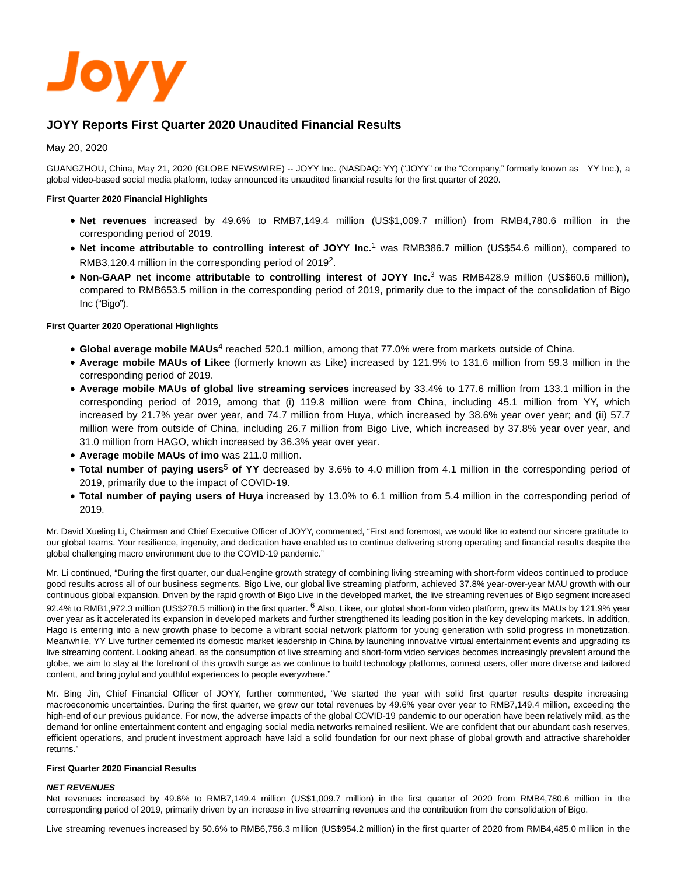

# **JOYY Reports First Quarter 2020 Unaudited Financial Results**

May 20, 2020

GUANGZHOU, China, May 21, 2020 (GLOBE NEWSWIRE) -- JOYY Inc. (NASDAQ: YY) ("JOYY" or the "Company," formerly known as YY Inc.), a global video-based social media platform, today announced its unaudited financial results for the first quarter of 2020.

## **First Quarter 2020 Financial Highlights**

- **Net revenues** increased by 49.6% to RMB7,149.4 million (US\$1,009.7 million) from RMB4,780.6 million in the corresponding period of 2019.
- Net income attributable to controlling interest of JOYY Inc.<sup>1</sup> was RMB386.7 million (US\$54.6 million), compared to RMB3,120.4 million in the corresponding period of  $2019^2$ .
- **Non-GAAP net income attributable to controlling interest of JOYY Inc.<sup>3</sup> was RMB428.9 million (US\$60.6 million),** compared to RMB653.5 million in the corresponding period of 2019, primarily due to the impact of the consolidation of Bigo Inc ("Bigo").

# **First Quarter 2020 Operational Highlights**

- Global average mobile MAUs<sup>4</sup> reached 520.1 million, among that 77.0% were from markets outside of China.
- **Average mobile MAUs of Likee** (formerly known as Like) increased by 121.9% to 131.6 million from 59.3 million in the corresponding period of 2019.
- **Average mobile MAUs of global live streaming services** increased by 33.4% to 177.6 million from 133.1 million in the corresponding period of 2019, among that (i) 119.8 million were from China, including 45.1 million from YY, which increased by 21.7% year over year, and 74.7 million from Huya, which increased by 38.6% year over year; and (ii) 57.7 million were from outside of China, including 26.7 million from Bigo Live, which increased by 37.8% year over year, and 31.0 million from HAGO, which increased by 36.3% year over year.
- **Average mobile MAUs of imo** was 211.0 million.
- Total number of paying users<sup>5</sup> of YY decreased by 3.6% to 4.0 million from 4.1 million in the corresponding period of 2019, primarily due to the impact of COVID-19.
- **Total number of paying users of Huya** increased by 13.0% to 6.1 million from 5.4 million in the corresponding period of 2019.

Mr. David Xueling Li, Chairman and Chief Executive Officer of JOYY, commented, "First and foremost, we would like to extend our sincere gratitude to our global teams. Your resilience, ingenuity, and dedication have enabled us to continue delivering strong operating and financial results despite the global challenging macro environment due to the COVID-19 pandemic."

Mr. Li continued, "During the first quarter, our dual-engine growth strategy of combining living streaming with short-form videos continued to produce good results across all of our business segments. Bigo Live, our global live streaming platform, achieved 37.8% year-over-year MAU growth with our continuous global expansion. Driven by the rapid growth of Bigo Live in the developed market, the live streaming revenues of Bigo segment increased 92.4% to RMB1,972.3 million (US\$278.5 million) in the first quarter. <sup>6</sup> Also, Likee, our global short-form video platform, grew its MAUs by 121.9% year over year as it accelerated its expansion in developed markets and further strengthened its leading position in the key developing markets. In addition, Hago is entering into a new growth phase to become a vibrant social network platform for young generation with solid progress in monetization. Meanwhile, YY Live further cemented its domestic market leadership in China by launching innovative virtual entertainment events and upgrading its live streaming content. Looking ahead, as the consumption of live streaming and short-form video services becomes increasingly prevalent around the globe, we aim to stay at the forefront of this growth surge as we continue to build technology platforms, connect users, offer more diverse and tailored content, and bring joyful and youthful experiences to people everywhere."

Mr. Bing Jin, Chief Financial Officer of JOYY, further commented, "We started the year with solid first quarter results despite increasing macroeconomic uncertainties. During the first quarter, we grew our total revenues by 49.6% year over year to RMB7,149.4 million, exceeding the high-end of our previous guidance. For now, the adverse impacts of the global COVID-19 pandemic to our operation have been relatively mild, as the demand for online entertainment content and engaging social media networks remained resilient. We are confident that our abundant cash reserves, efficient operations, and prudent investment approach have laid a solid foundation for our next phase of global growth and attractive shareholder returns."

## **First Quarter 2020 Financial Results**

### **NET REVENUES**

Net revenues increased by 49.6% to RMB7,149.4 million (US\$1,009.7 million) in the first quarter of 2020 from RMB4,780.6 million in the corresponding period of 2019, primarily driven by an increase in live streaming revenues and the contribution from the consolidation of Bigo.

Live streaming revenues increased by 50.6% to RMB6,756.3 million (US\$954.2 million) in the first quarter of 2020 from RMB4,485.0 million in the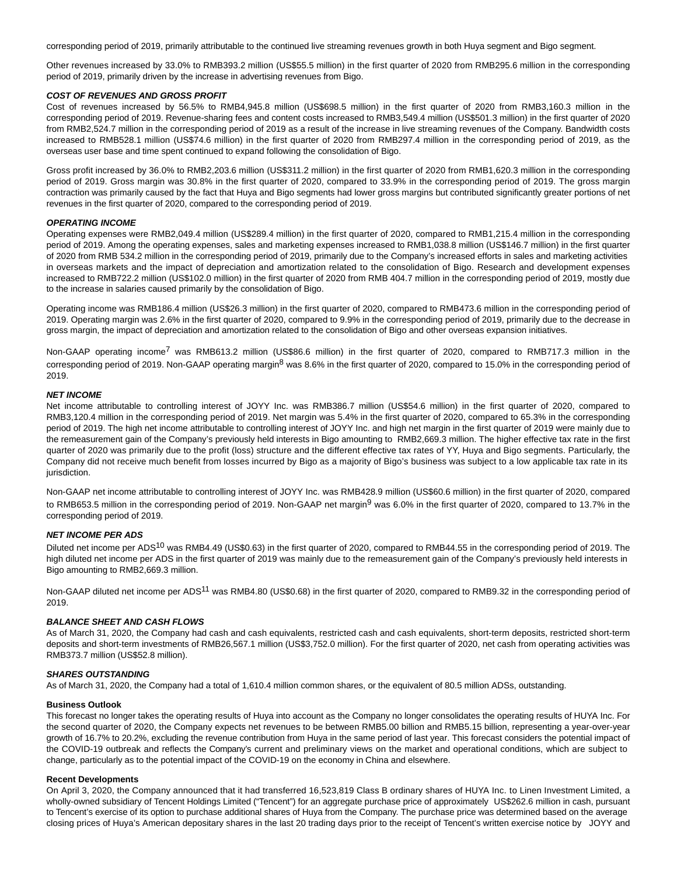corresponding period of 2019, primarily attributable to the continued live streaming revenues growth in both Huya segment and Bigo segment.

Other revenues increased by 33.0% to RMB393.2 million (US\$55.5 million) in the first quarter of 2020 from RMB295.6 million in the corresponding period of 2019, primarily driven by the increase in advertising revenues from Bigo.

#### **COST OF REVENUES AND GROSS PROFIT**

Cost of revenues increased by 56.5% to RMB4,945.8 million (US\$698.5 million) in the first quarter of 2020 from RMB3,160.3 million in the corresponding period of 2019. Revenue-sharing fees and content costs increased to RMB3,549.4 million (US\$501.3 million) in the first quarter of 2020 from RMB2,524.7 million in the corresponding period of 2019 as a result of the increase in live streaming revenues of the Company. Bandwidth costs increased to RMB528.1 million (US\$74.6 million) in the first quarter of 2020 from RMB297.4 million in the corresponding period of 2019, as the overseas user base and time spent continued to expand following the consolidation of Bigo.

Gross profit increased by 36.0% to RMB2,203.6 million (US\$311.2 million) in the first quarter of 2020 from RMB1,620.3 million in the corresponding period of 2019. Gross margin was 30.8% in the first quarter of 2020, compared to 33.9% in the corresponding period of 2019. The gross margin contraction was primarily caused by the fact that Huya and Bigo segments had lower gross margins but contributed significantly greater portions of net revenues in the first quarter of 2020, compared to the corresponding period of 2019.

### **OPERATING INCOME**

Operating expenses were RMB2,049.4 million (US\$289.4 million) in the first quarter of 2020, compared to RMB1,215.4 million in the corresponding period of 2019. Among the operating expenses, sales and marketing expenses increased to RMB1,038.8 million (US\$146.7 million) in the first quarter of 2020 from RMB 534.2 million in the corresponding period of 2019, primarily due to the Company's increased efforts in sales and marketing activities in overseas markets and the impact of depreciation and amortization related to the consolidation of Bigo. Research and development expenses increased to RMB722.2 million (US\$102.0 million) in the first quarter of 2020 from RMB 404.7 million in the corresponding period of 2019, mostly due to the increase in salaries caused primarily by the consolidation of Bigo.

Operating income was RMB186.4 million (US\$26.3 million) in the first quarter of 2020, compared to RMB473.6 million in the corresponding period of 2019. Operating margin was 2.6% in the first quarter of 2020, compared to 9.9% in the corresponding period of 2019, primarily due to the decrease in gross margin, the impact of depreciation and amortization related to the consolidation of Bigo and other overseas expansion initiatives.

Non-GAAP operating income<sup>7</sup> was RMB613.2 million (US\$86.6 million) in the first quarter of 2020, compared to RMB717.3 million in the corresponding period of 2019. Non-GAAP operating margin<sup>8</sup> was 8.6% in the first quarter of 2020, compared to 15.0% in the corresponding period of 2019.

#### **NET INCOME**

Net income attributable to controlling interest of JOYY Inc. was RMB386.7 million (US\$54.6 million) in the first quarter of 2020, compared to RMB3,120.4 million in the corresponding period of 2019. Net margin was 5.4% in the first quarter of 2020, compared to 65.3% in the corresponding period of 2019. The high net income attributable to controlling interest of JOYY Inc. and high net margin in the first quarter of 2019 were mainly due to the remeasurement gain of the Company's previously held interests in Bigo amounting to RMB2,669.3 million. The higher effective tax rate in the first quarter of 2020 was primarily due to the profit (loss) structure and the different effective tax rates of YY, Huya and Bigo segments. Particularly, the Company did not receive much benefit from losses incurred by Bigo as a majority of Bigo's business was subject to a low applicable tax rate in its jurisdiction.

Non-GAAP net income attributable to controlling interest of JOYY Inc. was RMB428.9 million (US\$60.6 million) in the first quarter of 2020, compared to RMB653.5 million in the corresponding period of 2019. Non-GAAP net margin<sup>9</sup> was 6.0% in the first quarter of 2020, compared to 13.7% in the corresponding period of 2019.

#### **NET INCOME PER ADS**

Diluted net income per ADS<sup>10</sup> was RMB4.49 (US\$0.63) in the first quarter of 2020, compared to RMB44.55 in the corresponding period of 2019. The high diluted net income per ADS in the first quarter of 2019 was mainly due to the remeasurement gain of the Company's previously held interests in Bigo amounting to RMB2,669.3 million.

Non-GAAP diluted net income per ADS<sup>11</sup> was RMB4.80 (US\$0.68) in the first quarter of 2020, compared to RMB9.32 in the corresponding period of 2019.

#### **BALANCE SHEET AND CASH FLOWS**

As of March 31, 2020, the Company had cash and cash equivalents, restricted cash and cash equivalents, short-term deposits, restricted short-term deposits and short-term investments of RMB26,567.1 million (US\$3,752.0 million). For the first quarter of 2020, net cash from operating activities was RMB373.7 million (US\$52.8 million).

### **SHARES OUTSTANDING**

As of March 31, 2020, the Company had a total of 1,610.4 million common shares, or the equivalent of 80.5 million ADSs, outstanding.

### **Business Outlook**

This forecast no longer takes the operating results of Huya into account as the Company no longer consolidates the operating results of HUYA Inc. For the second quarter of 2020, the Company expects net revenues to be between RMB5.00 billion and RMB5.15 billion, representing a year-over-year growth of 16.7% to 20.2%, excluding the revenue contribution from Huya in the same period of last year. This forecast considers the potential impact of the COVID-19 outbreak and reflects the Company's current and preliminary views on the market and operational conditions, which are subject to change, particularly as to the potential impact of the COVID-19 on the economy in China and elsewhere.

#### **Recent Developments**

On April 3, 2020, the Company announced that it had transferred 16,523,819 Class B ordinary shares of HUYA Inc. to Linen Investment Limited, a wholly-owned subsidiary of Tencent Holdings Limited ("Tencent") for an aggregate purchase price of approximately US\$262.6 million in cash, pursuant to Tencent's exercise of its option to purchase additional shares of Huya from the Company. The purchase price was determined based on the average closing prices of Huya's American depositary shares in the last 20 trading days prior to the receipt of Tencent's written exercise notice by JOYY and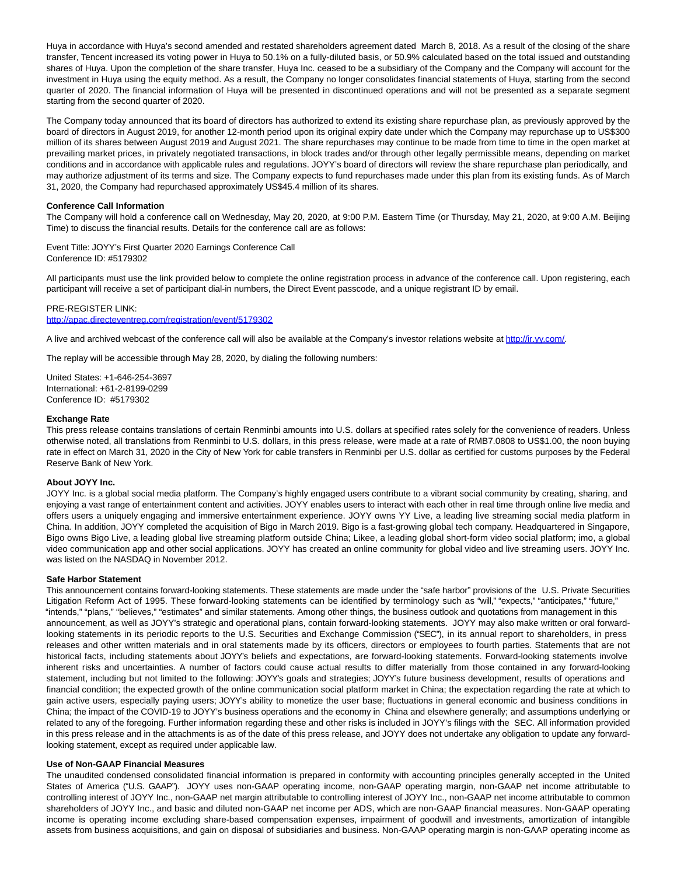Huya in accordance with Huya's second amended and restated shareholders agreement dated March 8, 2018. As a result of the closing of the share transfer, Tencent increased its voting power in Huya to 50.1% on a fully-diluted basis, or 50.9% calculated based on the total issued and outstanding shares of Huya. Upon the completion of the share transfer, Huya Inc. ceased to be a subsidiary of the Company and the Company will account for the investment in Huya using the equity method. As a result, the Company no longer consolidates financial statements of Huya, starting from the second quarter of 2020. The financial information of Huya will be presented in discontinued operations and will not be presented as a separate segment starting from the second quarter of 2020.

The Company today announced that its board of directors has authorized to extend its existing share repurchase plan, as previously approved by the board of directors in August 2019, for another 12-month period upon its original expiry date under which the Company may repurchase up to US\$300 million of its shares between August 2019 and August 2021. The share repurchases may continue to be made from time to time in the open market at prevailing market prices, in privately negotiated transactions, in block trades and/or through other legally permissible means, depending on market conditions and in accordance with applicable rules and regulations. JOYY's board of directors will review the share repurchase plan periodically, and may authorize adjustment of its terms and size. The Company expects to fund repurchases made under this plan from its existing funds. As of March 31, 2020, the Company had repurchased approximately US\$45.4 million of its shares.

### **Conference Call Information**

The Company will hold a conference call on Wednesday, May 20, 2020, at 9:00 P.M. Eastern Time (or Thursday, May 21, 2020, at 9:00 A.M. Beijing Time) to discuss the financial results. Details for the conference call are as follows:

Event Title: JOYY's First Quarter 2020 Earnings Conference Call Conference ID: #5179302

All participants must use the link provided below to complete the online registration process in advance of the conference call. Upon registering, each participant will receive a set of participant dial-in numbers, the Direct Event passcode, and a unique registrant ID by email.

#### PRE-REGISTER LINK:

[http://apac.directeventreg.com/registration/event/5179302](https://www.globenewswire.com/Tracker?data=K_OtYw2Eg3Pg3wmmAeGeModrr-UgMSIEmLmezM-Idbaikb8arqbUwjWWWKni53TDf0PS0j2QFPg-iGP-TrbuF9y0fFTmc6tKBLOr2moAwLLQRPAIODBe2xDE5wHD-fXxLtvLkfTxpfocxo2-nDjO5-wB12fmO2t36wLr6CYeb6piM7py6Kq-0KeyEUtFSJn-)

A live and archived webcast of the conference call will also be available at the Company's investor relations website at [http://ir.yy.com/.](https://www.globenewswire.com/Tracker?data=K_OtYw2Eg3Pg3wmmAeGeMt-SaqmI2lIfK3Eqyu7vl8f55zdr2ukf2Xhcnpmx3LJHVvrSKc0yJMmI74nQpg4aOQ==)

The replay will be accessible through May 28, 2020, by dialing the following numbers:

United States: +1-646-254-3697 International: +61-2-8199-0299 Conference ID: #5179302

#### **Exchange Rate**

This press release contains translations of certain Renminbi amounts into U.S. dollars at specified rates solely for the convenience of readers. Unless otherwise noted, all translations from Renminbi to U.S. dollars, in this press release, were made at a rate of RMB7.0808 to US\$1.00, the noon buying rate in effect on March 31, 2020 in the City of New York for cable transfers in Renminbi per U.S. dollar as certified for customs purposes by the Federal Reserve Bank of New York.

### **About JOYY Inc.**

JOYY Inc. is a global social media platform. The Company's highly engaged users contribute to a vibrant social community by creating, sharing, and enjoying a vast range of entertainment content and activities. JOYY enables users to interact with each other in real time through online live media and offers users a uniquely engaging and immersive entertainment experience. JOYY owns YY Live, a leading live streaming social media platform in China. In addition, JOYY completed the acquisition of Bigo in March 2019. Bigo is a fast-growing global tech company. Headquartered in Singapore, Bigo owns Bigo Live, a leading global live streaming platform outside China; Likee, a leading global short-form video social platform; imo, a global video communication app and other social applications. JOYY has created an online community for global video and live streaming users. JOYY Inc. was listed on the NASDAQ in November 2012.

#### **Safe Harbor Statement**

This announcement contains forward-looking statements. These statements are made under the "safe harbor" provisions of the U.S. Private Securities Litigation Reform Act of 1995. These forward-looking statements can be identified by terminology such as "will," "expects," "anticipates," "future," "intends," "plans," "believes," "estimates" and similar statements. Among other things, the business outlook and quotations from management in this announcement, as well as JOYY's strategic and operational plans, contain forward-looking statements. JOYY may also make written or oral forwardlooking statements in its periodic reports to the U.S. Securities and Exchange Commission ("SEC"), in its annual report to shareholders, in press releases and other written materials and in oral statements made by its officers, directors or employees to fourth parties. Statements that are not historical facts, including statements about JOYY's beliefs and expectations, are forward-looking statements. Forward-looking statements involve inherent risks and uncertainties. A number of factors could cause actual results to differ materially from those contained in any forward-looking statement, including but not limited to the following: JOYY's goals and strategies; JOYY's future business development, results of operations and financial condition; the expected growth of the online communication social platform market in China; the expectation regarding the rate at which to gain active users, especially paying users; JOYY's ability to monetize the user base; fluctuations in general economic and business conditions in China; the impact of the COVID-19 to JOYY's business operations and the economy in China and elsewhere generally; and assumptions underlying or related to any of the foregoing. Further information regarding these and other risks is included in JOYY's filings with the SEC. All information provided in this press release and in the attachments is as of the date of this press release, and JOYY does not undertake any obligation to update any forwardlooking statement, except as required under applicable law.

### **Use of Non-GAAP Financial Measures**

The unaudited condensed consolidated financial information is prepared in conformity with accounting principles generally accepted in the United States of America ("U.S. GAAP"). JOYY uses non-GAAP operating income, non-GAAP operating margin, non-GAAP net income attributable to controlling interest of JOYY Inc., non-GAAP net margin attributable to controlling interest of JOYY Inc., non-GAAP net income attributable to common shareholders of JOYY Inc., and basic and diluted non-GAAP net income per ADS, which are non-GAAP financial measures. Non-GAAP operating income is operating income excluding share-based compensation expenses, impairment of goodwill and investments, amortization of intangible assets from business acquisitions, and gain on disposal of subsidiaries and business. Non-GAAP operating margin is non-GAAP operating income as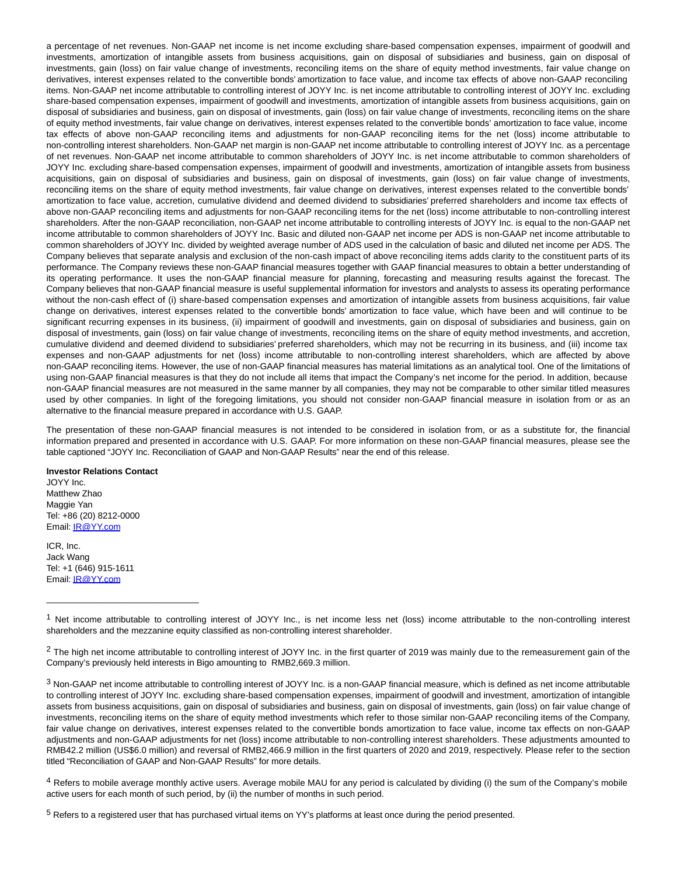a percentage of net revenues. Non-GAAP net income is net income excluding share-based compensation expenses, impairment of goodwill and investments, amortization of intangible assets from business acquisitions, gain on disposal of subsidiaries and business, gain on disposal of investments, gain (loss) on fair value change of investments, reconciling items on the share of equity method investments, fair value change on derivatives, interest expenses related to the convertible bonds' amortization to face value, and income tax effects of above non-GAAP reconciling items. Non-GAAP net income attributable to controlling interest of JOYY Inc. is net income attributable to controlling interest of JOYY Inc. excluding share-based compensation expenses, impairment of goodwill and investments, amortization of intangible assets from business acquisitions, gain on disposal of subsidiaries and business, gain on disposal of investments, gain (loss) on fair value change of investments, reconciling items on the share of equity method investments, fair value change on derivatives, interest expenses related to the convertible bonds' amortization to face value, income tax effects of above non-GAAP reconciling items and adjustments for non-GAAP reconciling items for the net (loss) income attributable to non-controlling interest shareholders. Non-GAAP net margin is non-GAAP net income attributable to controlling interest of JOYY Inc. as a percentage of net revenues. Non-GAAP net income attributable to common shareholders of JOYY Inc. is net income attributable to common shareholders of JOYY Inc. excluding share-based compensation expenses, impairment of goodwill and investments, amortization of intangible assets from business acquisitions, gain on disposal of subsidiaries and business, gain on disposal of investments, gain (loss) on fair value change of investments, reconciling items on the share of equity method investments, fair value change on derivatives, interest expenses related to the convertible bonds' amortization to face value, accretion, cumulative dividend and deemed dividend to subsidiaries' preferred shareholders and income tax effects of above non-GAAP reconciling items and adjustments for non-GAAP reconciling items for the net (loss) income attributable to non-controlling interest shareholders. After the non-GAAP reconciliation, non-GAAP net income attributable to controlling interests of JOYY Inc. is equal to the non-GAAP net income attributable to common shareholders of JOYY Inc. Basic and diluted non-GAAP net income per ADS is non-GAAP net income attributable to common shareholders of JOYY Inc. divided by weighted average number of ADS used in the calculation of basic and diluted net income per ADS. The Company believes that separate analysis and exclusion of the non-cash impact of above reconciling items adds clarity to the constituent parts of its performance. The Company reviews these non-GAAP financial measures together with GAAP financial measures to obtain a better understanding of its operating performance. It uses the non-GAAP financial measure for planning, forecasting and measuring results against the forecast. The Company believes that non-GAAP financial measure is useful supplemental information for investors and analysts to assess its operating performance without the non-cash effect of (i) share-based compensation expenses and amortization of intangible assets from business acquisitions, fair value change on derivatives, interest expenses related to the convertible bonds' amortization to face value, which have been and will continue to be significant recurring expenses in its business, (ii) impairment of goodwill and investments, gain on disposal of subsidiaries and business, gain on disposal of investments, gain (loss) on fair value change of investments, reconciling items on the share of equity method investments, and accretion, cumulative dividend and deemed dividend to subsidiaries' preferred shareholders, which may not be recurring in its business, and (iii) income tax expenses and non-GAAP adjustments for net (loss) income attributable to non-controlling interest shareholders, which are affected by above non-GAAP reconciling items. However, the use of non-GAAP financial measures has material limitations as an analytical tool. One of the limitations of using non-GAAP financial measures is that they do not include all items that impact the Company's net income for the period. In addition, because non-GAAP financial measures are not measured in the same manner by all companies, they may not be comparable to other similar titled measures used by other companies. In light of the foregoing limitations, you should not consider non-GAAP financial measure in isolation from or as an alternative to the financial measure prepared in accordance with U.S. GAAP.

The presentation of these non-GAAP financial measures is not intended to be considered in isolation from, or as a substitute for, the financial information prepared and presented in accordance with U.S. GAAP. For more information on these non-GAAP financial measures, please see the table captioned "JOYY Inc. Reconciliation of GAAP and Non-GAAP Results" near the end of this release.

#### **Investor Relations Contact**

JOYY Inc. Matthew Zhao Maggie Yan Tel: +86 (20) 8212-0000 Email[: IR@YY.com](https://www.globenewswire.com/Tracker?data=V1Yhck3bz3SV0enCjbl5OaBqXwARlA4D52QBZfU3ukQcp5nnnQKKmzZbj1lsRXZ3)

ICR, Inc. Jack Wang Tel: +1 (646) 915-1611 Email[: IR@YY.com](https://www.globenewswire.com/Tracker?data=V1Yhck3bz3SV0enCjbl5OT6rk2NPT_jQU08dQJ_tHRmhxdCyMI4Smx0EFn_Pf1Kw)

\_\_\_\_\_\_\_\_\_\_\_\_\_\_\_\_\_\_\_\_\_\_\_\_\_\_\_\_\_\_\_

<sup>4</sup> Refers to mobile average monthly active users. Average mobile MAU for any period is calculated by dividing (i) the sum of the Company's mobile active users for each month of such period, by (ii) the number of months in such period.

5 Refers to a registered user that has purchased virtual items on YY's platforms at least once during the period presented.

<sup>&</sup>lt;sup>1</sup> Net income attributable to controlling interest of JOYY Inc., is net income less net (loss) income attributable to the non-controlling interest shareholders and the mezzanine equity classified as non-controlling interest shareholder.

<sup>&</sup>lt;sup>2</sup> The high net income attributable to controlling interest of JOYY Inc. in the first quarter of 2019 was mainly due to the remeasurement gain of the Company's previously held interests in Bigo amounting to RMB2,669.3 million.

<sup>3</sup> Non-GAAP net income attributable to controlling interest of JOYY Inc. is a non-GAAP financial measure, which is defined as net income attributable to controlling interest of JOYY Inc. excluding share-based compensation expenses, impairment of goodwill and investment, amortization of intangible assets from business acquisitions, gain on disposal of subsidiaries and business, gain on disposal of investments, gain (loss) on fair value change of investments, reconciling items on the share of equity method investments which refer to those similar non-GAAP reconciling items of the Company, fair value change on derivatives, interest expenses related to the convertible bonds amortization to face value, income tax effects on non-GAAP adjustments and non-GAAP adjustments for net (loss) income attributable to non-controlling interest shareholders. These adjustments amounted to RMB42.2 million (US\$6.0 million) and reversal of RMB2,466.9 million in the first quarters of 2020 and 2019, respectively. Please refer to the section titled "Reconciliation of GAAP and Non-GAAP Results" for more details.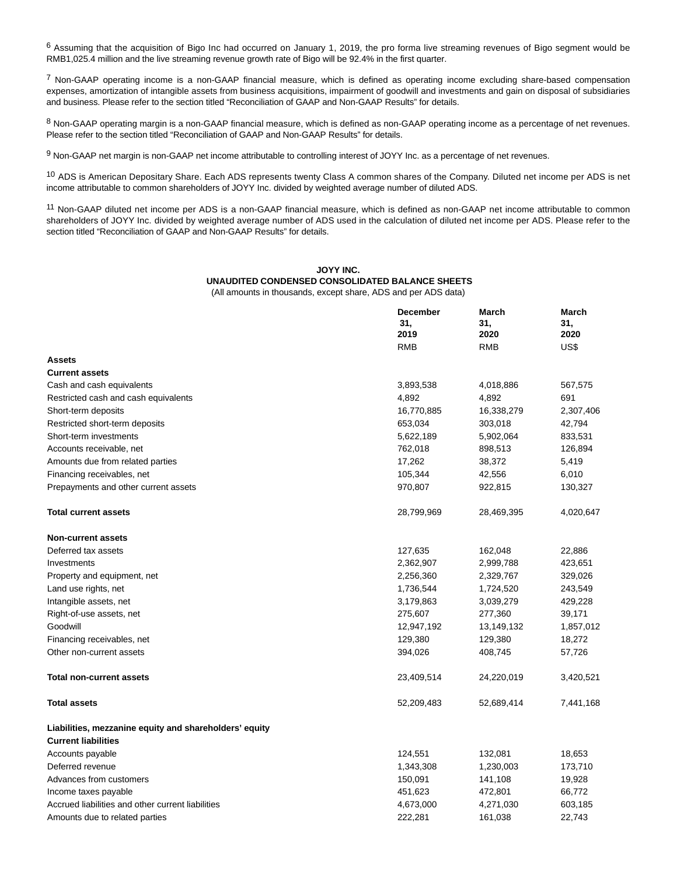6 Assuming that the acquisition of Bigo Inc had occurred on January 1, 2019, the pro forma live streaming revenues of Bigo segment would be RMB1,025.4 million and the live streaming revenue growth rate of Bigo will be 92.4% in the first quarter.

7 Non-GAAP operating income is a non-GAAP financial measure, which is defined as operating income excluding share-based compensation expenses, amortization of intangible assets from business acquisitions, impairment of goodwill and investments and gain on disposal of subsidiaries and business. Please refer to the section titled "Reconciliation of GAAP and Non-GAAP Results" for details.

8 Non-GAAP operating margin is a non-GAAP financial measure, which is defined as non-GAAP operating income as a percentage of net revenues. Please refer to the section titled "Reconciliation of GAAP and Non-GAAP Results" for details.

9 Non-GAAP net margin is non-GAAP net income attributable to controlling interest of JOYY Inc. as a percentage of net revenues.

10 ADS is American Depositary Share. Each ADS represents twenty Class A common shares of the Company. Diluted net income per ADS is net income attributable to common shareholders of JOYY Inc. divided by weighted average number of diluted ADS.

<sup>11</sup> Non-GAAP diluted net income per ADS is a non-GAAP financial measure, which is defined as non-GAAP net income attributable to common shareholders of JOYY Inc. divided by weighted average number of ADS used in the calculation of diluted net income per ADS. Please refer to the section titled "Reconciliation of GAAP and Non-GAAP Results" for details.

# **JOYY INC. UNAUDITED CONDENSED CONSOLIDATED BALANCE SHEETS**

(All amounts in thousands, except share, ADS and per ADS data)

|                                                        | <b>December</b><br>31,<br>2019<br>RMB | March<br>31,<br>2020<br><b>RMB</b> | March<br>31,<br>2020<br>US\$ |
|--------------------------------------------------------|---------------------------------------|------------------------------------|------------------------------|
| <b>Assets</b>                                          |                                       |                                    |                              |
| <b>Current assets</b>                                  |                                       |                                    |                              |
| Cash and cash equivalents                              | 3,893,538                             | 4,018,886                          | 567,575                      |
| Restricted cash and cash equivalents                   | 4,892                                 | 4,892                              | 691                          |
| Short-term deposits                                    | 16,770,885                            | 16,338,279                         | 2,307,406                    |
| Restricted short-term deposits                         | 653,034                               | 303,018                            | 42,794                       |
| Short-term investments                                 | 5,622,189                             | 5,902,064                          | 833,531                      |
| Accounts receivable, net                               | 762,018                               | 898,513                            | 126,894                      |
| Amounts due from related parties                       | 17,262                                | 38,372                             | 5,419                        |
| Financing receivables, net                             | 105,344                               | 42,556                             | 6,010                        |
| Prepayments and other current assets                   | 970,807                               | 922,815                            | 130,327                      |
| <b>Total current assets</b>                            | 28,799,969                            | 28,469,395                         | 4,020,647                    |
| <b>Non-current assets</b>                              |                                       |                                    |                              |
| Deferred tax assets                                    | 127,635                               | 162,048                            | 22,886                       |
| Investments                                            | 2,362,907                             | 2,999,788                          | 423,651                      |
| Property and equipment, net                            | 2,256,360                             | 2,329,767                          | 329,026                      |
| Land use rights, net                                   | 1,736,544                             | 1,724,520                          | 243,549                      |
| Intangible assets, net                                 | 3,179,863                             | 3,039,279                          | 429,228                      |
| Right-of-use assets, net                               | 275,607                               | 277,360                            | 39,171                       |
| Goodwill                                               | 12,947,192                            | 13,149,132                         | 1,857,012                    |
| Financing receivables, net                             | 129,380                               | 129,380                            | 18,272                       |
| Other non-current assets                               | 394,026                               | 408,745                            | 57,726                       |
| <b>Total non-current assets</b>                        | 23,409,514                            | 24,220,019                         | 3,420,521                    |
| <b>Total assets</b>                                    | 52,209,483                            | 52,689,414                         | 7,441,168                    |
| Liabilities, mezzanine equity and shareholders' equity |                                       |                                    |                              |
| <b>Current liabilities</b>                             |                                       |                                    |                              |
| Accounts payable                                       | 124,551                               | 132,081                            | 18,653                       |
| Deferred revenue                                       | 1,343,308                             | 1,230,003                          | 173,710                      |
| Advances from customers                                | 150,091                               | 141,108                            | 19,928                       |
| Income taxes payable                                   | 451,623                               | 472,801                            | 66,772                       |
| Accrued liabilities and other current liabilities      | 4,673,000                             | 4,271,030                          | 603,185                      |
| Amounts due to related parties                         | 222,281                               | 161,038                            | 22,743                       |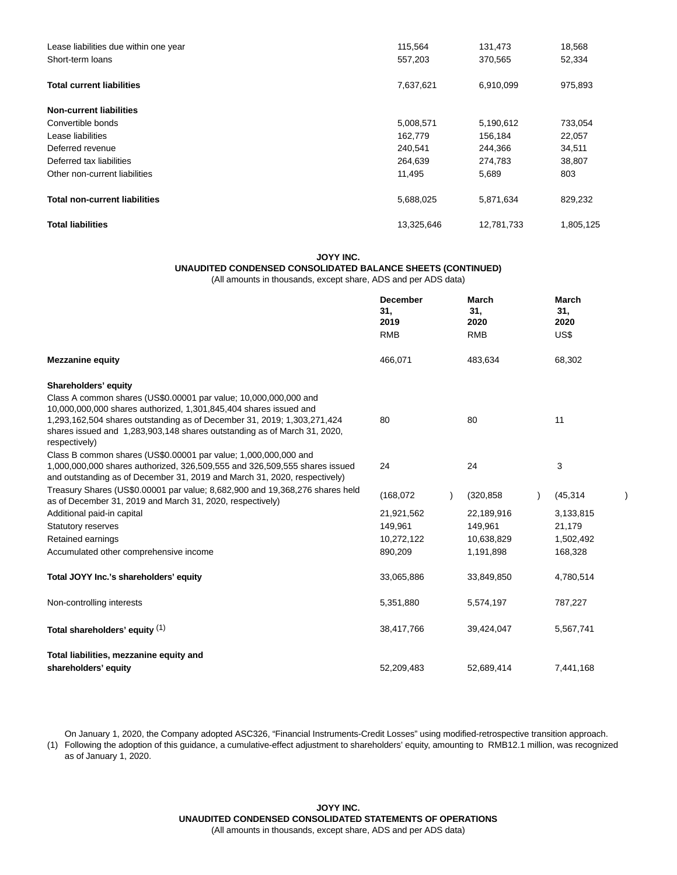| Lease liabilities due within one year<br>Short-term loans | 115,564<br>557,203 | 131,473<br>370,565 | 18,568<br>52,334 |
|-----------------------------------------------------------|--------------------|--------------------|------------------|
| <b>Total current liabilities</b>                          | 7,637,621          | 6,910,099          | 975,893          |
| <b>Non-current liabilities</b>                            |                    |                    |                  |
| Convertible bonds                                         | 5,008,571          | 5,190,612          | 733,054          |
| Lease liabilities                                         | 162,779            | 156,184            | 22,057           |
| Deferred revenue                                          | 240,541            | 244,366            | 34,511           |
| Deferred tax liabilities                                  | 264.639            | 274,783            | 38,807           |
| Other non-current liabilities                             | 11,495             | 5,689              | 803              |
| <b>Total non-current liabilities</b>                      | 5,688,025          | 5,871,634          | 829,232          |
| <b>Total liabilities</b>                                  | 13,325,646         | 12.781.733         | 1,805,125        |

#### **JOYY INC. UNAUDITED CONDENSED CONSOLIDATED BALANCE SHEETS (CONTINUED)** (All amounts in thousands, except share, ADS and per ADS data)

**December 31, 2019 March 31, 2020 March 31, 2020** RMB US\$ **Mezzanine equity** 68,302 68,302 **Shareholders' equity** Class A common shares (US\$0.00001 par value; 10,000,000,000 and 10,000,000,000 shares authorized, 1,301,845,404 shares issued and 1,293,162,504 shares outstanding as of December 31, 2019; 1,303,271,424 shares issued and 1,283,903,148 shares outstanding as of March 31, 2020, respectively) 80 80 11 Class B common shares (US\$0.00001 par value; 1,000,000,000 and 1,000,000,000 shares authorized, 326,509,555 and 326,509,555 shares issued and outstanding as of December 31, 2019 and March 31, 2020, respectively) 24 24 3 Treasury Shares (US\$0.00001 par value; 8,682,900 and 19,368,276 shares held as of December 31, 2019 and March 31, 2020, respectively) (168,072 (168,072 ) (320,858 ) (45,314 ) Additional paid-in capital 21,921,562 22,189,916 22,189,916 3,133,815 Statutory reserves 21,179 and 2011 149,961 21,179 and 21,179 and 21,179 and 21,179 and 21,179 and 21,179 and 21,179 Retained earnings 10,272,122 10,638,829 1,502,492 Accumulated other comprehensive income 68.328 168,328 168,328 168,328 168,328 168,328 **Total JOYY Inc.'s shareholders' equity** 33,065,886 33,065,886 33,849,850 4,780,514 Non-controlling interests **5,351,880** 5,351,880 5,574,197 787,227 **Total shareholders' equity** <sup>(1)</sup>  $38,417,766$   $39,424,047$   $5,567,741$ **Total liabilities, mezzanine equity and shareholders' equity** 52,209,483 52,689,414 7,441,168

(1) Following the adoption of this guidance, a cumulative-effect adjustment to shareholders' equity, amounting to RMB12.1 million, was recognized On January 1, 2020, the Company adopted ASC326, "Financial Instruments-Credit Losses" using modified-retrospective transition approach. as of January 1, 2020.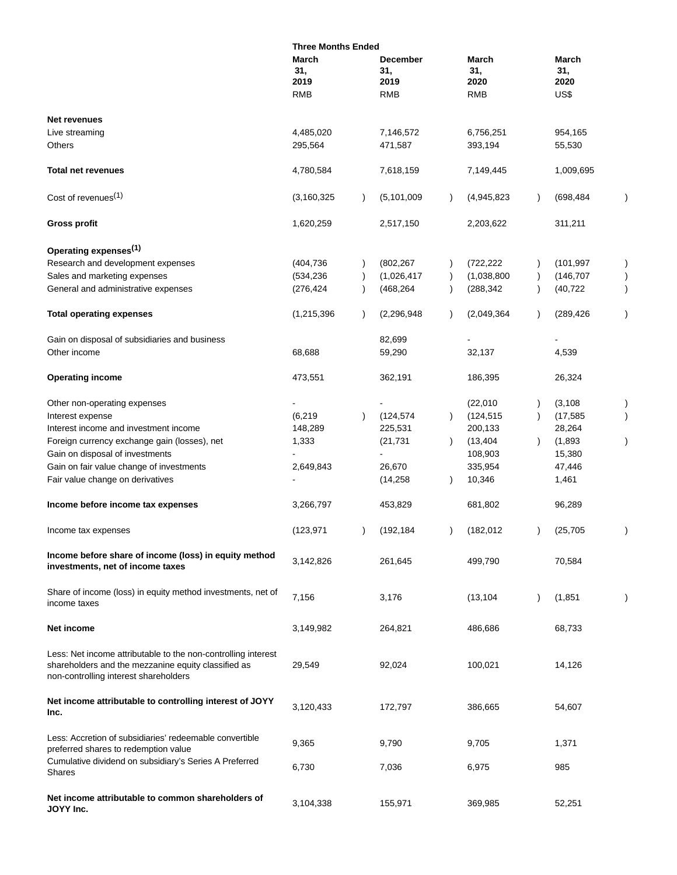|                                                                                                                                                               | <b>Three Months Ended</b>          |           |                                       |           |                                           |  |                              |           |
|---------------------------------------------------------------------------------------------------------------------------------------------------------------|------------------------------------|-----------|---------------------------------------|-----------|-------------------------------------------|--|------------------------------|-----------|
|                                                                                                                                                               | March<br>31,<br>2019<br><b>RMB</b> |           | <b>December</b><br>31,<br>2019<br>RMB |           | <b>March</b><br>31,<br>2020<br><b>RMB</b> |  | March<br>31,<br>2020<br>US\$ |           |
| <b>Net revenues</b>                                                                                                                                           |                                    |           |                                       |           |                                           |  |                              |           |
| Live streaming<br>Others                                                                                                                                      | 4,485,020<br>295,564               |           | 7,146,572<br>471,587                  |           | 6,756,251<br>393,194                      |  | 954,165<br>55,530            |           |
| Total net revenues                                                                                                                                            | 4,780,584                          |           | 7,618,159                             |           | 7,149,445                                 |  | 1,009,695                    |           |
| Cost of revenues <sup>(1)</sup>                                                                                                                               | (3, 160, 325)                      | $\lambda$ | (5, 101, 009)                         |           | (4,945,823)                               |  | (698, 484)                   |           |
| <b>Gross profit</b>                                                                                                                                           | 1,620,259                          |           | 2,517,150                             |           | 2,203,622                                 |  | 311,211                      |           |
| Operating expenses <sup>(1)</sup>                                                                                                                             |                                    |           |                                       |           |                                           |  |                              |           |
| Research and development expenses                                                                                                                             | (404, 736)                         | $\lambda$ | (802, 267)                            |           | (722, 222)                                |  | (101, 997)                   |           |
| Sales and marketing expenses                                                                                                                                  | (534, 236)                         |           | (1,026,417)                           |           | (1,038,800)                               |  | (146, 707)                   |           |
| General and administrative expenses                                                                                                                           | (276, 424)                         |           | (468, 264)                            |           | (288, 342)                                |  | (40, 722)                    |           |
| <b>Total operating expenses</b>                                                                                                                               | (1, 215, 396)                      | $\lambda$ | (2, 296, 948)                         | $\lambda$ | (2,049,364)                               |  | (289,426                     | $\lambda$ |
| Gain on disposal of subsidiaries and business                                                                                                                 |                                    |           | 82,699                                |           |                                           |  |                              |           |
| Other income                                                                                                                                                  | 68,688                             |           | 59,290                                |           | 32,137                                    |  | 4,539                        |           |
| <b>Operating income</b>                                                                                                                                       | 473,551                            |           | 362,191                               |           | 186,395                                   |  | 26,324                       |           |
| Other non-operating expenses                                                                                                                                  |                                    |           |                                       |           | (22,010)                                  |  | (3, 108)                     |           |
| Interest expense                                                                                                                                              | (6, 219)                           |           | (124, 574)                            | $\lambda$ | (124, 515)                                |  | (17, 585)                    |           |
| Interest income and investment income                                                                                                                         | 148,289                            |           | 225,531                               |           | 200,133                                   |  | 28,264                       |           |
| Foreign currency exchange gain (losses), net                                                                                                                  | 1,333                              |           | (21, 731)                             | $\lambda$ | (13, 404)                                 |  | (1,893)                      |           |
| Gain on disposal of investments                                                                                                                               |                                    |           |                                       |           | 108,903                                   |  | 15,380                       |           |
| Gain on fair value change of investments                                                                                                                      | 2,649,843                          |           | 26,670                                |           | 335,954                                   |  | 47,446                       |           |
| Fair value change on derivatives                                                                                                                              |                                    |           | (14, 258)                             |           | 10,346                                    |  | 1,461                        |           |
| Income before income tax expenses                                                                                                                             | 3,266,797                          |           | 453,829                               |           | 681,802                                   |  | 96,289                       |           |
| Income tax expenses                                                                                                                                           | (123, 971)                         |           | (192, 184)                            |           | (182, 012)                                |  | (25, 705)                    |           |
| Income before share of income (loss) in equity method<br>investments, net of income taxes                                                                     | 3,142,826                          |           | 261,645                               |           | 499,790                                   |  | 70,584                       |           |
| Share of income (loss) in equity method investments, net of<br>income taxes                                                                                   | 7,156                              |           | 3,176                                 |           | (13, 104)                                 |  | (1,851)                      | $\lambda$ |
| Net income                                                                                                                                                    | 3,149,982                          |           | 264,821                               |           | 486,686                                   |  | 68,733                       |           |
| Less: Net income attributable to the non-controlling interest<br>shareholders and the mezzanine equity classified as<br>non-controlling interest shareholders | 29,549                             |           | 92,024                                |           | 100,021                                   |  | 14,126                       |           |
| Net income attributable to controlling interest of JOYY<br>Inc.                                                                                               | 3,120,433                          |           | 172,797                               |           | 386,665                                   |  | 54,607                       |           |
| Less: Accretion of subsidiaries' redeemable convertible<br>preferred shares to redemption value                                                               | 9,365                              |           | 9,790                                 |           | 9,705                                     |  | 1,371                        |           |
| Cumulative dividend on subsidiary's Series A Preferred<br>Shares                                                                                              | 6,730                              |           | 7,036                                 |           | 6,975                                     |  | 985                          |           |
| Net income attributable to common shareholders of<br>JOYY Inc.                                                                                                | 3,104,338                          |           | 155,971                               |           | 369,985                                   |  | 52,251                       |           |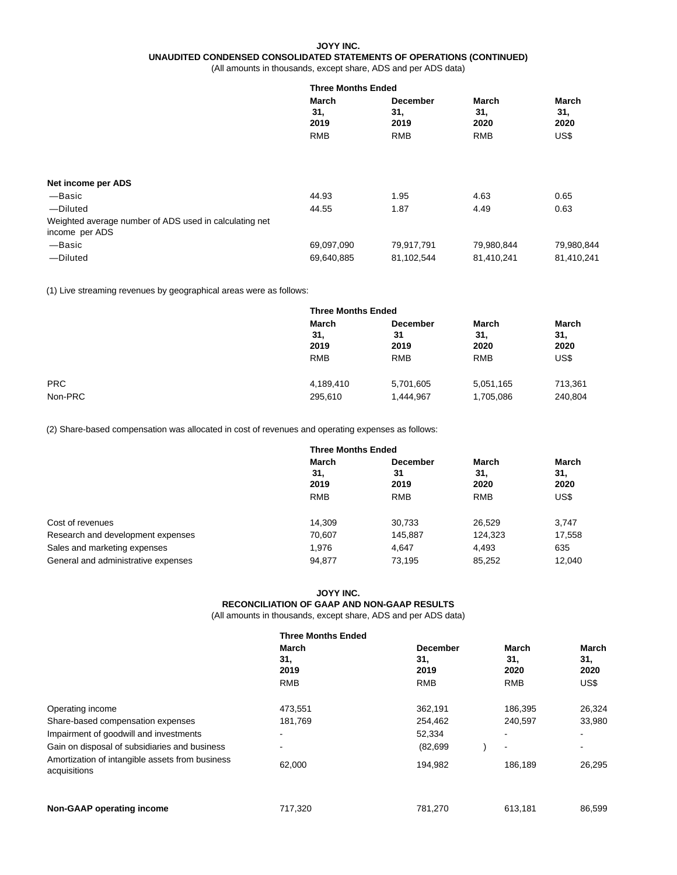## **JOYY INC. UNAUDITED CONDENSED CONSOLIDATED STATEMENTS OF OPERATIONS (CONTINUED)** (All amounts in thousands, except share, ADS and per ADS data)

|                                                                          | <b>Three Months Ended</b>   |                                |                             |                             |  |  |  |  |
|--------------------------------------------------------------------------|-----------------------------|--------------------------------|-----------------------------|-----------------------------|--|--|--|--|
|                                                                          | <b>March</b><br>31,<br>2019 | <b>December</b><br>31,<br>2019 | <b>March</b><br>31,<br>2020 | <b>March</b><br>31,<br>2020 |  |  |  |  |
|                                                                          | <b>RMB</b>                  | <b>RMB</b>                     | <b>RMB</b>                  | US\$                        |  |  |  |  |
| Net income per ADS                                                       |                             |                                |                             |                             |  |  |  |  |
| -Basic                                                                   | 44.93                       | 1.95                           | 4.63                        | 0.65                        |  |  |  |  |
| -Diluted                                                                 | 44.55                       | 1.87                           | 4.49                        | 0.63                        |  |  |  |  |
| Weighted average number of ADS used in calculating net<br>income per ADS |                             |                                |                             |                             |  |  |  |  |
| $-$ Basic                                                                | 69,097,090                  | 79,917,791                     | 79,980,844                  | 79,980,844                  |  |  |  |  |
| -Diluted                                                                 | 69,640,885                  | 81,102,544                     | 81,410,241                  | 81,410,241                  |  |  |  |  |

(1) Live streaming revenues by geographical areas were as follows:

|            |            | <b>Three Months Ended</b> |            |         |  |  |  |  |
|------------|------------|---------------------------|------------|---------|--|--|--|--|
|            | March      | <b>December</b>           | March      | March   |  |  |  |  |
|            | 31,        | 31                        | 31,        | 31,     |  |  |  |  |
|            | 2019       | 2019                      | 2020       | 2020    |  |  |  |  |
|            | <b>RMB</b> | <b>RMB</b>                | <b>RMB</b> | US\$    |  |  |  |  |
| <b>PRC</b> | 4,189,410  | 5,701,605                 | 5,051,165  | 713,361 |  |  |  |  |
| Non-PRC    | 295,610    | 1,444,967                 | 1,705,086  | 240,804 |  |  |  |  |

(2) Share-based compensation was allocated in cost of revenues and operating expenses as follows:

|                                     | <b>Three Months Ended</b>          |                                             |                                    |                                     |  |  |
|-------------------------------------|------------------------------------|---------------------------------------------|------------------------------------|-------------------------------------|--|--|
|                                     | March<br>31,<br>2019<br><b>RMB</b> | <b>December</b><br>31<br>2019<br><b>RMB</b> | March<br>31,<br>2020<br><b>RMB</b> | <b>March</b><br>31,<br>2020<br>US\$ |  |  |
| Cost of revenues                    | 14.309                             | 30,733                                      | 26.529                             | 3,747                               |  |  |
| Research and development expenses   | 70,607                             | 145,887                                     | 124,323                            | 17,558                              |  |  |
| Sales and marketing expenses        | 1.976                              | 4.647                                       | 4.493                              | 635                                 |  |  |
| General and administrative expenses | 94,877                             | 73.195                                      | 85,252                             | 12,040                              |  |  |

**JOYY INC. RECONCILIATION OF GAAP AND NON-GAAP RESULTS** (All amounts in thousands, except share, ADS and per ADS data)

|                                                                 | <b>Three Months Ended</b> |                                |                          |                      |  |  |  |  |  |  |  |
|-----------------------------------------------------------------|---------------------------|--------------------------------|--------------------------|----------------------|--|--|--|--|--|--|--|
|                                                                 | March<br>31.<br>2019      | <b>December</b><br>31,<br>2019 | March<br>31.<br>2020     | March<br>31,<br>2020 |  |  |  |  |  |  |  |
|                                                                 | <b>RMB</b>                | <b>RMB</b>                     | <b>RMB</b>               | US\$                 |  |  |  |  |  |  |  |
| Operating income                                                | 473.551                   | 362,191                        | 186,395                  | 26,324               |  |  |  |  |  |  |  |
| Share-based compensation expenses                               | 181,769                   | 254,462                        | 240,597                  | 33,980               |  |  |  |  |  |  |  |
| Impairment of goodwill and investments                          |                           | 52,334                         | -                        |                      |  |  |  |  |  |  |  |
| Gain on disposal of subsidiaries and business                   |                           | (82, 699)                      | $\overline{\phantom{a}}$ |                      |  |  |  |  |  |  |  |
| Amortization of intangible assets from business<br>acquisitions | 62.000                    | 194.982                        | 186.189                  | 26.295               |  |  |  |  |  |  |  |
|                                                                 |                           |                                |                          |                      |  |  |  |  |  |  |  |
| Non-GAAP operating income                                       | 717.320                   | 781.270                        | 613,181                  | 86,599               |  |  |  |  |  |  |  |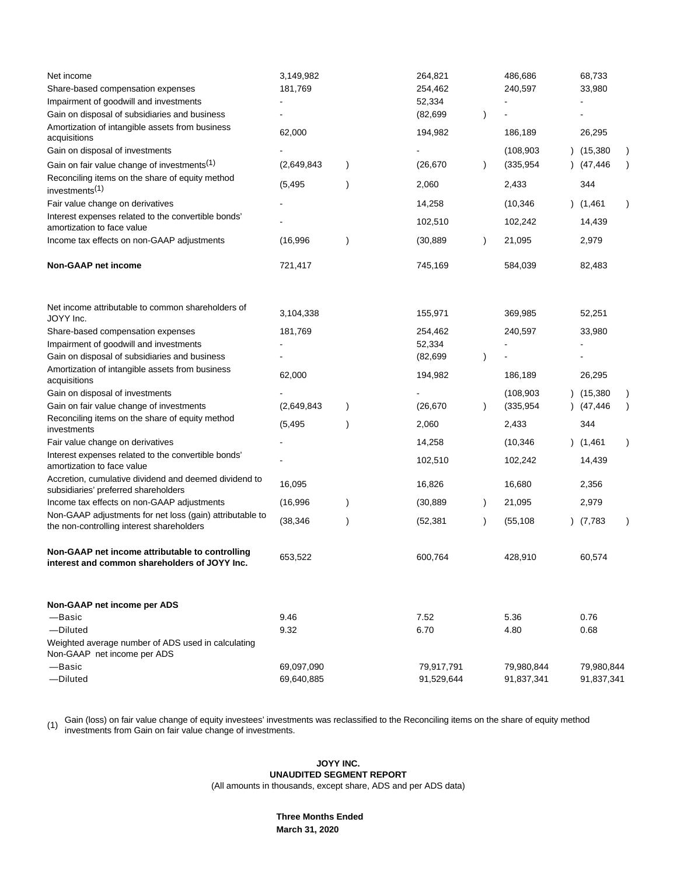| Net income<br>Share-based compensation expenses<br>Impairment of goodwill and investments<br>Gain on disposal of subsidiaries and business<br>Amortization of intangible assets from business | 3,149,982<br>181,769 |           | 264,821<br>254,462<br>52,334<br>(82, 699) | $\lambda$ | 486,686<br>240,597 |           | 68,733<br>33,980 |  |
|-----------------------------------------------------------------------------------------------------------------------------------------------------------------------------------------------|----------------------|-----------|-------------------------------------------|-----------|--------------------|-----------|------------------|--|
| acquisitions                                                                                                                                                                                  | 62,000               |           | 194,982                                   |           | 186,189            |           | 26,295           |  |
| Gain on disposal of investments                                                                                                                                                               |                      |           |                                           |           | (108, 903)         |           | (15, 380)        |  |
| Gain on fair value change of investments <sup>(1)</sup>                                                                                                                                       | (2,649,843)          | $\lambda$ | (26, 670)                                 |           | (335, 954)         |           | (47, 446)        |  |
| Reconciling items on the share of equity method<br>investments <sup>(1)</sup>                                                                                                                 | (5, 495)             |           | 2,060                                     |           | 2,433              |           | 344              |  |
| Fair value change on derivatives                                                                                                                                                              |                      |           | 14,258                                    |           | (10, 346)          |           | (1,461)          |  |
| Interest expenses related to the convertible bonds'<br>amortization to face value                                                                                                             |                      |           | 102,510                                   |           | 102,242            |           | 14,439           |  |
| Income tax effects on non-GAAP adjustments                                                                                                                                                    | (16,996)             |           | (30, 889)                                 |           | 21,095             |           | 2,979            |  |
| Non-GAAP net income                                                                                                                                                                           | 721,417              |           | 745,169                                   |           | 584,039            |           | 82,483           |  |
| Net income attributable to common shareholders of<br>JOYY Inc.                                                                                                                                | 3,104,338            |           | 155,971                                   |           | 369,985            |           | 52,251           |  |
| Share-based compensation expenses                                                                                                                                                             | 181,769              |           | 254,462                                   |           | 240,597            |           | 33,980           |  |
| Impairment of goodwill and investments                                                                                                                                                        |                      |           | 52,334                                    |           |                    |           |                  |  |
| Gain on disposal of subsidiaries and business                                                                                                                                                 |                      |           | (82, 699)                                 | ⟩         |                    |           |                  |  |
| Amortization of intangible assets from business<br>acquisitions                                                                                                                               | 62,000               |           | 194,982                                   |           | 186,189            |           | 26,295           |  |
| Gain on disposal of investments                                                                                                                                                               |                      |           |                                           |           | (108, 903)         |           | (15, 380)        |  |
| Gain on fair value change of investments                                                                                                                                                      | (2,649,843)          |           | (26, 670)                                 | $\lambda$ | (335, 954)         |           | (47, 446)        |  |
| Reconciling items on the share of equity method<br>investments                                                                                                                                | (5, 495)             |           | 2,060                                     |           | 2,433              |           | 344              |  |
| Fair value change on derivatives                                                                                                                                                              |                      |           | 14,258                                    |           | (10, 346)          | $\lambda$ | (1,461)          |  |
| Interest expenses related to the convertible bonds'<br>amortization to face value                                                                                                             |                      |           | 102,510                                   |           | 102,242            |           | 14,439           |  |
| Accretion, cumulative dividend and deemed dividend to<br>subsidiaries' preferred shareholders                                                                                                 | 16,095               |           | 16,826                                    |           | 16,680             |           | 2,356            |  |
| Income tax effects on non-GAAP adjustments                                                                                                                                                    | (16, 996)            |           | (30, 889)                                 | $\lambda$ | 21,095             |           | 2,979            |  |
| Non-GAAP adjustments for net loss (gain) attributable to<br>the non-controlling interest shareholders                                                                                         | (38, 346)            |           | (52, 381)                                 |           | (55, 108)          |           | (7,783)          |  |
| Non-GAAP net income attributable to controlling<br>interest and common shareholders of JOYY Inc                                                                                               | 653,522              |           | 600,764                                   |           | 428,910            |           | 60,574           |  |
| Non-GAAP net income per ADS                                                                                                                                                                   |                      |           |                                           |           |                    |           |                  |  |
| -Basic                                                                                                                                                                                        | 9.46                 |           | 7.52                                      |           | 5.36               |           | 0.76             |  |
| -Diluted                                                                                                                                                                                      | 9.32                 |           | 6.70                                      |           | 4.80               |           | 0.68             |  |
| Weighted average number of ADS used in calculating<br>Non-GAAP net income per ADS                                                                                                             |                      |           |                                           |           |                    |           |                  |  |
| -Basic                                                                                                                                                                                        | 69,097,090           |           | 79,917,791                                |           | 79,980,844         |           | 79,980,844       |  |
| -Diluted                                                                                                                                                                                      | 69,640,885           |           | 91,529,644                                |           | 91,837,341         |           | 91,837,341       |  |

(1) Gain (loss) on fair value change of equity investees' investments was reclassified to the Reconciling items on the share of equity method investments from Gain on fair value change of investments.

**JOYY INC. UNAUDITED SEGMENT REPORT** (All amounts in thousands, except share, ADS and per ADS data)

**Three Months Ended March 31, 2020**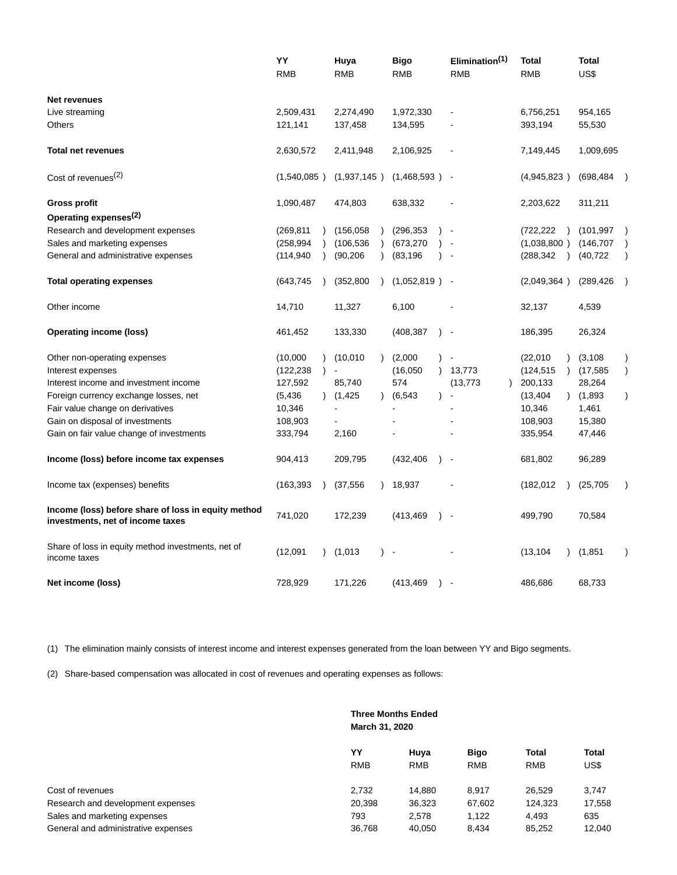|                                                                                         | YY<br><b>RMB</b> | Huya<br><b>RMB</b> | <b>Bigo</b><br><b>RMB</b> |            | Elimination <sup>(1)</sup><br><b>RMB</b> | <b>Total</b><br><b>RMB</b> | <b>Total</b><br>US\$ |               |
|-----------------------------------------------------------------------------------------|------------------|--------------------|---------------------------|------------|------------------------------------------|----------------------------|----------------------|---------------|
| Net revenues                                                                            |                  |                    |                           |            |                                          |                            |                      |               |
| Live streaming                                                                          | 2,509,431        | 2,274,490          | 1,972,330                 |            |                                          | 6,756,251                  | 954,165              |               |
| <b>Others</b>                                                                           | 121,141          | 137,458            | 134,595                   |            |                                          | 393,194                    | 55,530               |               |
| <b>Total net revenues</b>                                                               | 2,630,572        | 2,411,948          | 2,106,925                 |            |                                          | 7,149,445                  | 1,009,695            |               |
| Cost of revenues <sup>(2)</sup>                                                         | (1,540,085)      | (1,937,145)        | $(1,468,593) -$           |            |                                          | (4,945,823)                | (698,484)            |               |
| Gross profit                                                                            | 1,090,487        | 474,803            | 638,332                   |            |                                          | 2,203,622                  | 311,211              |               |
| Operating expenses <sup>(2)</sup>                                                       |                  |                    |                           |            |                                          |                            |                      |               |
| Research and development expenses                                                       | (269, 811)       | (156, 058)         | (296, 353)                | $\sim$ $-$ |                                          | (722, 222)                 | (101, 997)           | $\lambda$     |
| Sales and marketing expenses                                                            | (258, 994)       | (106, 536)         | (673, 270)                |            |                                          | (1,038,800)                | (146, 707)           |               |
| General and administrative expenses                                                     | (114, 940)       | (90, 206)          | (83, 196)                 |            |                                          | (288, 342)                 | (40, 722)            | $\lambda$     |
| <b>Total operating expenses</b>                                                         | (643, 745)       | (352, 800)         | $(1,052,819) -$           |            |                                          | (2,049,364)                | (289, 426)           |               |
| Other income                                                                            | 14,710           | 11,327             | 6,100                     |            |                                          | 32,137                     | 4,539                |               |
| <b>Operating income (loss)</b>                                                          | 461,452          | 133,330            | (408,387                  | $\sim$     |                                          | 186,395                    | 26,324               |               |
| Other non-operating expenses                                                            | (10,000)         | (10,010)           | (2,000)                   |            | $\sim$                                   | (22,010)                   | (3, 108)             | $\lambda$     |
| Interest expenses                                                                       | (122, 238)       |                    | (16,050)                  |            | ) 13,773                                 | (124, 515)<br>$\lambda$    | (17, 585)            | $\mathcal{L}$ |
| Interest income and investment income                                                   | 127,592          | 85,740             | 574                       |            | (13, 773)<br>$\lambda$                   | 200,133                    | 28,264               |               |
| Foreign currency exchange losses, net                                                   | (5, 436)         | (1, 425)           | (6, 543)                  | $\lambda$  | $\tilde{\phantom{a}}$                    | (13, 404)                  | (1,893)              | $\mathcal{C}$ |
| Fair value change on derivatives                                                        | 10,346           |                    |                           |            |                                          | 10,346                     | 1,461                |               |
| Gain on disposal of investments                                                         | 108,903          |                    |                           |            |                                          | 108,903                    | 15,380               |               |
| Gain on fair value change of investments                                                | 333,794          | 2,160              |                           |            |                                          | 335,954                    | 47,446               |               |
| Income (loss) before income tax expenses                                                | 904,413          | 209,795            | (432,406                  | $\sim$     |                                          | 681,802                    | 96,289               |               |
| Income tax (expenses) benefits                                                          | (163, 393)       | (37, 556)          | 18,937                    |            |                                          | (182, 012)                 | (25, 705)            |               |
| Income (loss) before share of loss in equity method<br>investments, net of income taxes | 741,020          | 172,239            | (413, 469)                | $\sim$     |                                          | 499,790                    | 70,584               |               |
| Share of loss in equity method investments, net of<br>income taxes                      | (12,091)         | (1,013)            | $) -$                     |            |                                          | (13, 104)                  | (1,851)              | $\lambda$     |
| Net income (loss)                                                                       | 728,929          | 171,226            | (413, 469)                |            | $\sim$                                   | 486,686                    | 68,733               |               |

(1) The elimination mainly consists of interest income and interest expenses generated from the loan between YY and Bigo segments.

(2) Share-based compensation was allocated in cost of revenues and operating expenses as follows:

# **Three Months Ended March 31, 2020**

|                                     | YY<br><b>RMB</b> | Huya<br><b>RMB</b> | <b>Bigo</b><br><b>RMB</b> | Total<br><b>RMB</b> | Total<br>US\$ |
|-------------------------------------|------------------|--------------------|---------------------------|---------------------|---------------|
| Cost of revenues                    | 2.732            | 14.880             | 8.917                     | 26.529              | 3.747         |
| Research and development expenses   | 20.398           | 36.323             | 67.602                    | 124.323             | 17,558        |
| Sales and marketing expenses        | 793              | 2.578              | 1.122                     | 4.493               | 635           |
| General and administrative expenses | 36.768           | 40.050             | 8.434                     | 85.252              | 12.040        |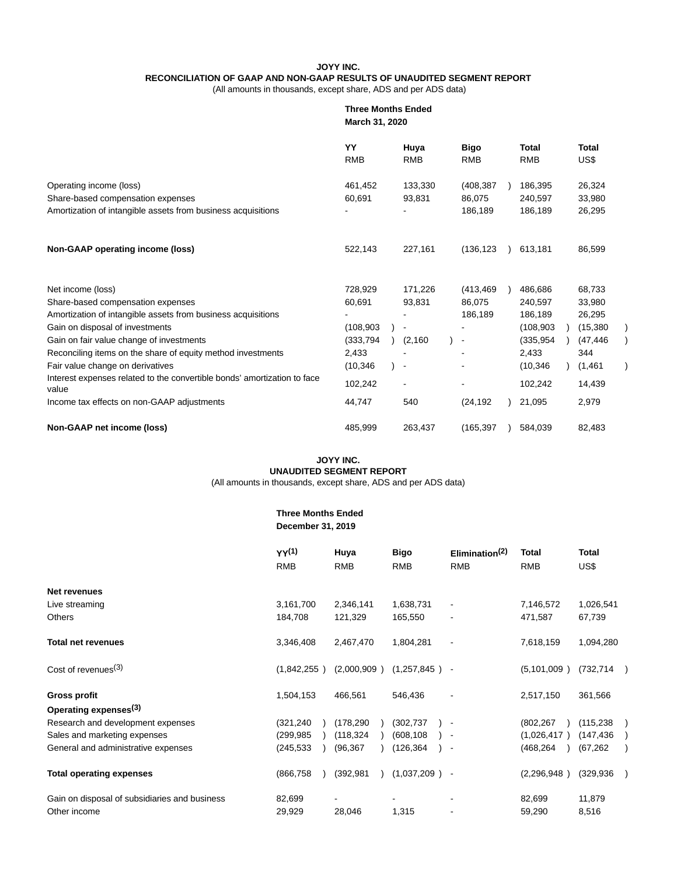# **JOYY INC.**

**RECONCILIATION OF GAAP AND NON-GAAP RESULTS OF UNAUDITED SEGMENT REPORT**

(All amounts in thousands, except share, ADS and per ADS data)

|                                                                                                                                                                                                                                                                                                                                                                                                                                             | <b>Three Months Ended</b><br>March 31, 2020                                              |  |                                                                                             |  |                                                                          |  |                                                                                                      |                                                                                           |  |
|---------------------------------------------------------------------------------------------------------------------------------------------------------------------------------------------------------------------------------------------------------------------------------------------------------------------------------------------------------------------------------------------------------------------------------------------|------------------------------------------------------------------------------------------|--|---------------------------------------------------------------------------------------------|--|--------------------------------------------------------------------------|--|------------------------------------------------------------------------------------------------------|-------------------------------------------------------------------------------------------|--|
|                                                                                                                                                                                                                                                                                                                                                                                                                                             | YY<br><b>RMB</b>                                                                         |  | Huya<br><b>RMB</b>                                                                          |  | <b>Bigo</b><br><b>RMB</b>                                                |  | <b>Total</b><br><b>RMB</b>                                                                           | <b>Total</b><br>US\$                                                                      |  |
| Operating income (loss)<br>Share-based compensation expenses<br>Amortization of intangible assets from business acquisitions                                                                                                                                                                                                                                                                                                                | 461,452<br>60,691                                                                        |  | 133,330<br>93,831                                                                           |  | (408, 387)<br>86,075<br>186,189                                          |  | 186,395<br>240,597<br>186,189                                                                        | 26,324<br>33,980<br>26,295                                                                |  |
| Non-GAAP operating income (loss)                                                                                                                                                                                                                                                                                                                                                                                                            | 522,143                                                                                  |  | 227,161                                                                                     |  | (136, 123)                                                               |  | 613,181                                                                                              | 86,599                                                                                    |  |
| Net income (loss)<br>Share-based compensation expenses<br>Amortization of intangible assets from business acquisitions<br>Gain on disposal of investments<br>Gain on fair value change of investments<br>Reconciling items on the share of equity method investments<br>Fair value change on derivatives<br>Interest expenses related to the convertible bonds' amortization to face<br>value<br>Income tax effects on non-GAAP adjustments | 728,929<br>60,691<br>(108, 903)<br>(333, 794)<br>2,433<br>(10, 346)<br>102,242<br>44,747 |  | 171,226<br>93,831<br>$\overline{\phantom{a}}$<br>(2,160)<br>$\sim$<br>$\blacksquare$<br>540 |  | (413, 469)<br>86,075<br>186,189<br>$\overline{\phantom{a}}$<br>(24, 192) |  | 486,686<br>240,597<br>186,189<br>(108, 903)<br>(335, 954)<br>2,433<br>(10, 346)<br>102,242<br>21,095 | 68,733<br>33,980<br>26,295<br>(15, 380)<br>(47, 446)<br>344<br>(1,461)<br>14,439<br>2,979 |  |
| Non-GAAP net income (loss)                                                                                                                                                                                                                                                                                                                                                                                                                  | 485,999                                                                                  |  | 263,437                                                                                     |  | (165, 397)                                                               |  | 584,039                                                                                              | 82,483                                                                                    |  |

# **JOYY INC. UNAUDITED SEGMENT REPORT**

(All amounts in thousands, except share, ADS and per ADS data)

# **Three Months Ended December 31, 2019**

|                                               | YY <sup>(1)</sup><br><b>RMB</b> | Huya<br><b>RMB</b> | <b>Bigo</b><br><b>RMB</b> | Elimination <sup>(2)</sup><br><b>RMB</b> | <b>Total</b><br><b>RMB</b> | Total<br>US\$ |
|-----------------------------------------------|---------------------------------|--------------------|---------------------------|------------------------------------------|----------------------------|---------------|
| Net revenues                                  |                                 |                    |                           |                                          |                            |               |
| Live streaming                                | 3,161,700                       | 2,346,141          | 1,638,731                 |                                          | 7,146,572                  | 1,026,541     |
| Others                                        | 184,708                         | 121,329            | 165,550                   |                                          | 471,587                    | 67,739        |
| <b>Total net revenues</b>                     | 3,346,408                       | 2,467,470          | 1,804,281                 | $\blacksquare$                           | 7,618,159                  | 1,094,280     |
| Cost of revenues <sup>(3)</sup>               | (1,842,255)                     | (2,000,909)        | $(1,257,845) -$           |                                          | (5, 101, 009)              | (732,714)     |
| <b>Gross profit</b>                           | 1,504,153                       | 466,561            | 546,436                   |                                          | 2,517,150                  | 361,566       |
| Operating expenses <sup>(3)</sup>             |                                 |                    |                           |                                          |                            |               |
| Research and development expenses             | (321,240                        | (178, 290)         | (302, 737)                | $\overline{\phantom{a}}$                 | (802, 267)                 | (115, 238)    |
| Sales and marketing expenses                  | (299,985                        | (118, 324)         | (608, 108)                | $\overline{\phantom{a}}$                 | (1,026,417)                | (147, 436)    |
| General and administrative expenses           | (245, 533)                      | (96, 367)          | (126, 364)                | $\sim$ $-$                               | (468, 264)                 | (67, 262)     |
| <b>Total operating expenses</b>               | (866,758)                       | (392, 981)         | $(1,037,209) -$           |                                          | (2, 296, 948)              | (329, 936)    |
| Gain on disposal of subsidiaries and business | 82,699                          |                    |                           |                                          | 82,699                     | 11,879        |
| Other income                                  | 29,929                          | 28,046             | 1,315                     |                                          | 59,290                     | 8,516         |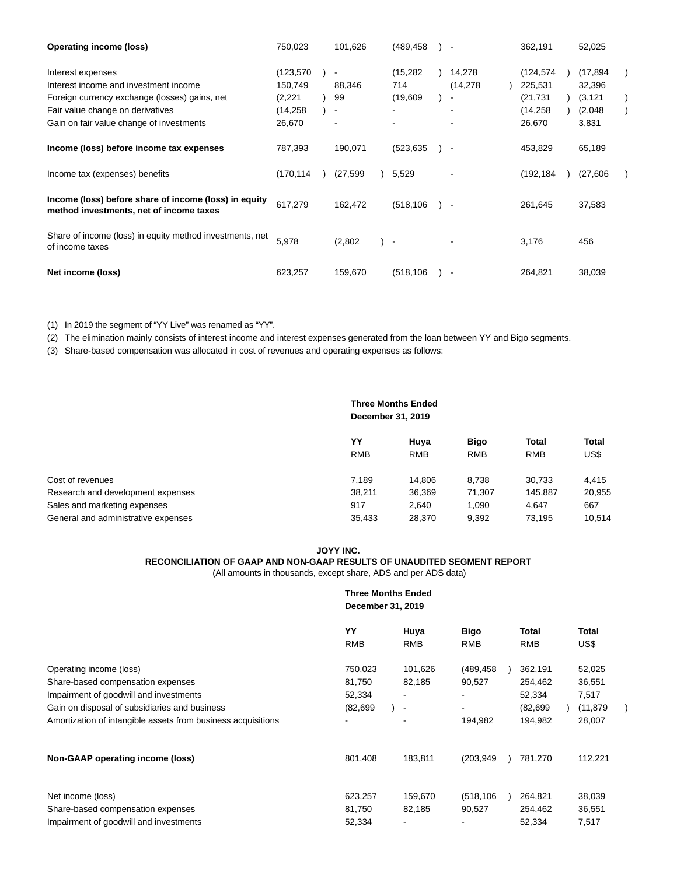| <b>Operating income (loss)</b>                                                                   | 750,023    | 101,626                  | (489,458)                | $\overline{\phantom{a}}$ | 362,191    | 52,025    |  |
|--------------------------------------------------------------------------------------------------|------------|--------------------------|--------------------------|--------------------------|------------|-----------|--|
| Interest expenses                                                                                | (123,570   |                          | (15, 282)                | 14,278                   | (124, 574) | (17, 894) |  |
| Interest income and investment income                                                            | 150,749    | 88,346                   | 714                      | (14, 278)                | 225,531    | 32,396    |  |
| Foreign currency exchange (losses) gains, net                                                    | (2,221)    | 99                       | (19,609)                 | $\overline{\phantom{a}}$ | (21, 731)  | (3, 121)  |  |
| Fair value change on derivatives                                                                 | (14, 258)  | $\overline{\phantom{a}}$ |                          |                          | (14, 258)  | (2,048)   |  |
| Gain on fair value change of investments                                                         | 26,670     |                          |                          |                          | 26,670     | 3,831     |  |
| Income (loss) before income tax expenses                                                         | 787,393    | 190,071                  | (523, 635)               | $\overline{\phantom{a}}$ | 453,829    | 65,189    |  |
| Income tax (expenses) benefits                                                                   | (170, 114) | (27, 599)                | 5,529                    |                          | (192, 184) | (27, 606) |  |
| Income (loss) before share of income (loss) in equity<br>method investments, net of income taxes | 617,279    | 162,472                  | (518, 106)               | $\sim$                   | 261,645    | 37,583    |  |
| Share of income (loss) in equity method investments, net<br>of income taxes                      | 5.978      | (2,802)                  | $\overline{\phantom{a}}$ |                          | 3,176      | 456       |  |
| Net income (loss)                                                                                | 623,257    | 159,670                  | (518, 106)               |                          | 264,821    | 38,039    |  |

(1) In 2019 the segment of "YY Live" was renamed as "YY".

(2) The elimination mainly consists of interest income and interest expenses generated from the loan between YY and Bigo segments.

(3) Share-based compensation was allocated in cost of revenues and operating expenses as follows:

| Three Months Ended |  |
|--------------------|--|
| December 31, 2019  |  |

|                                     | YΥ<br><b>RMB</b> | Huya<br><b>RMB</b> | <b>Bigo</b><br><b>RMB</b> | Total<br><b>RMB</b> | Total<br>US\$ |
|-------------------------------------|------------------|--------------------|---------------------------|---------------------|---------------|
| Cost of revenues                    | 7.189            | 14.806             | 8.738                     | 30.733              | 4.415         |
| Research and development expenses   | 38.211           | 36.369             | 71.307                    | 145.887             | 20,955        |
| Sales and marketing expenses        | 917              | 2.640              | 1.090                     | 4.647               | 667           |
| General and administrative expenses | 35.433           | 28.370             | 9.392                     | 73.195              | 10.514        |

## **JOYY INC.**

# **RECONCILIATION OF GAAP AND NON-GAAP RESULTS OF UNAUDITED SEGMENT REPORT**

(All amounts in thousands, except share, ADS and per ADS data)

|                                                                                                                                                                                                                         | <b>Three Months Ended</b><br>December 31, 2019 |                                                                           |                                    |                                                      |                                                |
|-------------------------------------------------------------------------------------------------------------------------------------------------------------------------------------------------------------------------|------------------------------------------------|---------------------------------------------------------------------------|------------------------------------|------------------------------------------------------|------------------------------------------------|
|                                                                                                                                                                                                                         | YY<br><b>RMB</b>                               | Huya<br><b>RMB</b>                                                        | <b>Bigo</b><br><b>RMB</b>          | <b>Total</b><br><b>RMB</b>                           | <b>Total</b><br>US\$                           |
| Operating income (loss)<br>Share-based compensation expenses<br>Impairment of goodwill and investments<br>Gain on disposal of subsidiaries and business<br>Amortization of intangible assets from business acquisitions | 750,023<br>81,750<br>52,334<br>(82, 699)       | 101,626<br>82,185<br>$\overline{\phantom{a}}$<br>$\overline{\phantom{a}}$ | (489,458)<br>90,527<br>194,982     | 362,191<br>254,462<br>52,334<br>(82, 699)<br>194,982 | 52,025<br>36,551<br>7,517<br>(11,879<br>28,007 |
| Non-GAAP operating income (loss)<br>Net income (loss)<br>Share-based compensation expenses<br>Impairment of goodwill and investments                                                                                    | 801,408<br>623,257<br>81,750<br>52,334         | 183,811<br>159,670<br>82,185                                              | (203, 949)<br>(518, 106)<br>90,527 | 781,270<br>264,821<br>254,462<br>52,334              | 112,221<br>38,039<br>36,551<br>7,517           |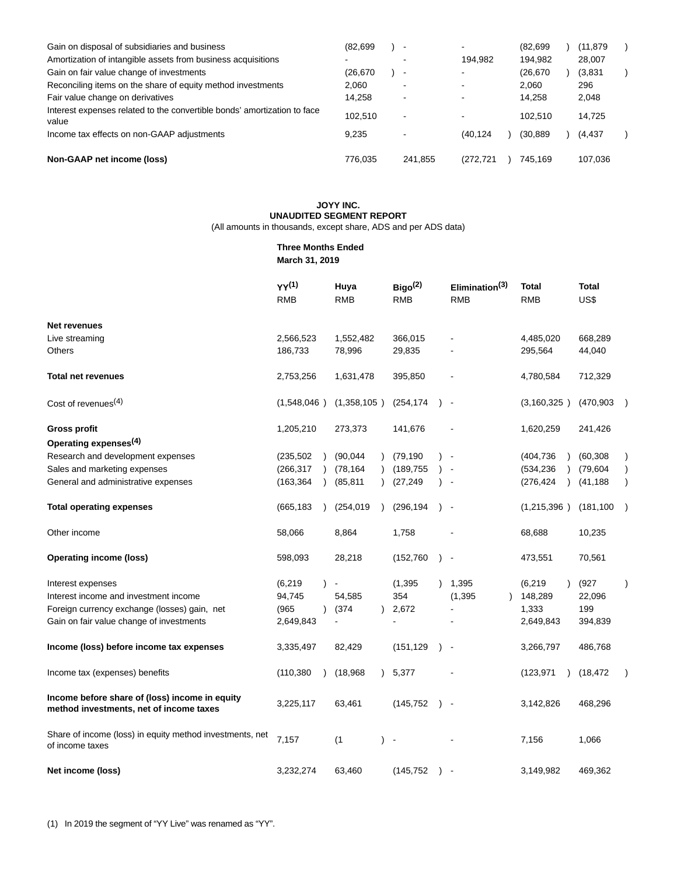| 776.035   | 241.855                  | (272.721 | 745.169   | 107,036 |  |
|-----------|--------------------------|----------|-----------|---------|--|
| 9.235     |                          | (40.124) | (30.889)  | (4,437  |  |
| 102.510   | -                        |          | 102.510   | 14.725  |  |
| 14.258    |                          |          | 14.258    | 2,048   |  |
| 2.060     |                          |          | 2.060     | 296     |  |
| (26, 670) | $\overline{\phantom{a}}$ | ۰        | (26, 670) | (3,831) |  |
|           |                          | 194.982  | 194.982   | 28,007  |  |
| (82.699)  | $\,$                     | -        | (82.699)  | (11,879 |  |
|           |                          |          |           |         |  |

# **JOYY INC. UNAUDITED SEGMENT REPORT**

(All amounts in thousands, except share, ADS and per ADS data)

# **Three Months Ended March 31, 2019**

|                                                                                           | YY <sup>(1)</sup><br><b>RMB</b> |  | Huya<br><b>RMB</b>  |               |                   |  |               |                      | Bigo <sup>(2)</sup><br><b>RMB</b> |           | Elimination <sup>(3)</sup><br><b>RMB</b> | Total<br><b>RMB</b> | <b>Total</b><br>US\$ |  |
|-------------------------------------------------------------------------------------------|---------------------------------|--|---------------------|---------------|-------------------|--|---------------|----------------------|-----------------------------------|-----------|------------------------------------------|---------------------|----------------------|--|
| <b>Net revenues</b>                                                                       |                                 |  |                     |               |                   |  |               |                      |                                   |           |                                          |                     |                      |  |
| Live streaming<br>Others                                                                  | 2,566,523<br>186,733            |  | 1,552,482<br>78,996 |               | 366,015<br>29,835 |  |               | 4,485,020<br>295,564 | 668,289<br>44,040                 |           |                                          |                     |                      |  |
| <b>Total net revenues</b>                                                                 | 2,753,256                       |  | 1,631,478           |               |                   |  | 395,850       |                      |                                   | 4,780,584 | 712,329                                  |                     |                      |  |
| Cost of revenues <sup>(4)</sup>                                                           | (1,548,046)                     |  | (1,358,105)         |               | (254, 174)        |  | $\sim$        | (3,160,325)          | (470, 903)                        |           |                                          |                     |                      |  |
| <b>Gross profit</b><br>Operating expenses <sup>(4)</sup>                                  | 1,205,210                       |  | 273,373             |               | 141,676           |  |               | 1,620,259            | 241,426                           |           |                                          |                     |                      |  |
|                                                                                           |                                 |  |                     |               |                   |  |               |                      |                                   |           |                                          |                     |                      |  |
| Research and development expenses                                                         | (235, 502)                      |  | (90, 044)           |               | (79, 190)         |  | $\sim$ $\sim$ | (404,736)            | (60, 308)                         | $\lambda$ |                                          |                     |                      |  |
| Sales and marketing expenses                                                              | (266, 317)                      |  | (78, 164)           |               | (189, 755)        |  |               | (534, 236)           | (79, 604)                         |           |                                          |                     |                      |  |
| General and administrative expenses                                                       | (163, 364)                      |  | (85, 811)           | $\lambda$     | (27, 249)         |  | $\sim$        | (276, 424)           | (41, 188)                         | $\lambda$ |                                          |                     |                      |  |
| <b>Total operating expenses</b>                                                           | (665, 183)                      |  | (254, 019)          | $\lambda$     | (296, 194)        |  | $\sim$        | (1,215,396)          | (181, 100)                        |           |                                          |                     |                      |  |
| Other income                                                                              | 58,066                          |  | 8,864               |               | 1,758             |  |               | 68,688               | 10,235                            |           |                                          |                     |                      |  |
| <b>Operating income (loss)</b>                                                            | 598,093                         |  | 28,218              |               | (152, 760)        |  | $\sim$        | 473,551              | 70,561                            |           |                                          |                     |                      |  |
| Interest expenses                                                                         | (6, 219)                        |  |                     |               | (1, 395)          |  | 1,395         | (6, 219)             | (927)                             |           |                                          |                     |                      |  |
| Interest income and investment income                                                     | 94,745                          |  | 54,585              |               | 354               |  | (1, 395)      | 148,289              | 22,096                            |           |                                          |                     |                      |  |
|                                                                                           | (965)                           |  | (374)               | $\mathcal{L}$ | 2,672             |  |               | 1,333                | 199                               |           |                                          |                     |                      |  |
| Foreign currency exchange (losses) gain, net                                              |                                 |  |                     |               |                   |  |               |                      |                                   |           |                                          |                     |                      |  |
| Gain on fair value change of investments                                                  | 2,649,843                       |  |                     |               |                   |  |               | 2,649,843            | 394,839                           |           |                                          |                     |                      |  |
| Income (loss) before income tax expenses                                                  | 3,335,497                       |  | 82,429              |               | (151, 129)        |  | $\sim$        | 3,266,797            | 486,768                           |           |                                          |                     |                      |  |
| Income tax (expenses) benefits                                                            | (110, 380)                      |  | (18,968)            | $\lambda$     | 5,377             |  |               | (123, 971)           | (18, 472)                         |           |                                          |                     |                      |  |
| Income before share of (loss) income in equity<br>method investments, net of income taxes | 3,225,117                       |  | 63,461              |               | (145, 752)        |  | $) -$         | 3,142,826            | 468,296                           |           |                                          |                     |                      |  |
| Share of income (loss) in equity method investments, net<br>of income taxes               | 7,157                           |  | (1)                 | $\lambda$     | $\blacksquare$    |  |               | 7,156                | 1,066                             |           |                                          |                     |                      |  |
| Net income (loss)                                                                         | 3.232.274                       |  | 63.460              |               | (145, 752)        |  |               | 3,149,982            | 469,362                           |           |                                          |                     |                      |  |